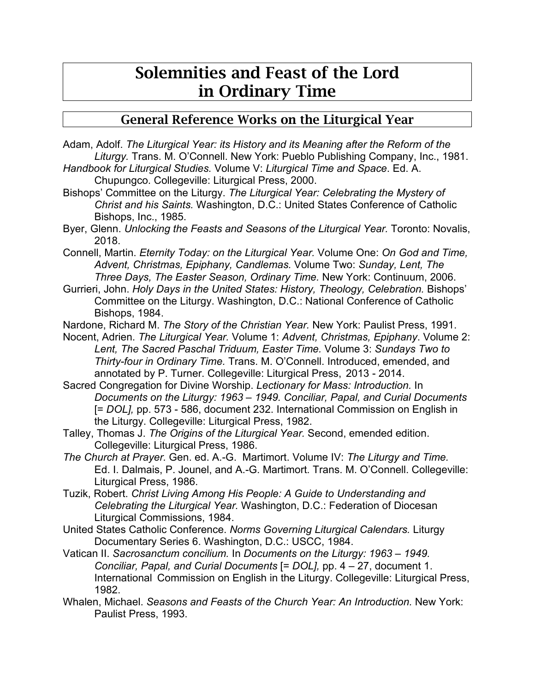## Solemnities and Feast of the Lord in Ordinary Time

## General Reference Works on the Liturgical Year

Adam, Adolf. *The Liturgical Year: its History and its Meaning after the Reform of the Liturgy.* Trans. M. O'Connell. New York: Pueblo Publishing Company, Inc., 1981.

- *Handbook for Liturgical Studies.* Volume V: *Liturgical Time and Space*. Ed. A. Chupungco. Collegeville: Liturgical Press, 2000.
- Bishops' Committee on the Liturgy. *The Liturgical Year: Celebrating the Mystery of Christ and his Saints.* Washington, D.C.: United States Conference of Catholic Bishops, Inc., 1985.
- Byer, Glenn. *Unlocking the Feasts and Seasons of the Liturgical Year.* Toronto: Novalis, 2018.
- Connell, Martin. *Eternity Today: on the Liturgical Year.* Volume One: *On God and Time, Advent, Christmas, Epiphany, Candlemas.* Volume Two: *Sunday, Lent, The Three Days, The Easter Season, Ordinary Time.* New York: Continuum, 2006.
- Gurrieri, John. *Holy Days in the United States: History, Theology, Celebration.* Bishops' Committee on the Liturgy. Washington, D.C.: National Conference of Catholic Bishops, 1984.
- Nardone, Richard M. *The Story of the Christian Year.* New York: Paulist Press, 1991.
- Nocent, Adrien. *The Liturgical Year.* Volume 1: *Advent, Christmas, Epiphany*. Volume 2: *Lent, The Sacred Paschal Triduum, Easter Time.* Volume 3: *Sundays Two to Thirty-four in Ordinary Time.* Trans. M. O'Connell. Introduced, emended, and annotated by P. Turner. Collegeville: Liturgical Press, 2013 - 2014.
- Sacred Congregation for Divine Worship. *Lectionary for Mass: Introduction.* In *Documents on the Liturgy: 1963 – 1949. Conciliar, Papal, and Curial Documents*  [= *DOL],* pp. 573 - 586, document 232. International Commission on English in the Liturgy. Collegeville: Liturgical Press, 1982.
- Talley, Thomas J. *The Origins of the Liturgical Year.* Second, emended edition. Collegeville: Liturgical Press, 1986.
- *The Church at Prayer.* Gen. ed. A.-G. Martimort. Volume IV: *The Liturgy and Time.* Ed. I. Dalmais, P. Jounel, and A.-G. Martimort. Trans. M. O'Connell. Collegeville: Liturgical Press, 1986.
- Tuzik, Robert. *Christ Living Among His People: A Guide to Understanding and Celebrating the Liturgical Year.* Washington, D.C.: Federation of Diocesan Liturgical Commissions, 1984.
- United States Catholic Conference. *Norms Governing Liturgical Calendars.* Liturgy Documentary Series 6. Washington, D.C.: USCC, 1984.
- Vatican II. *Sacrosanctum concilium.* In *Documents on the Liturgy: 1963 – 1949. Conciliar, Papal, and Curial Documents* [= *DOL],* pp. 4 – 27, document 1. International Commission on English in the Liturgy. Collegeville: Liturgical Press, 1982.
- Whalen, Michael. *Seasons and Feasts of the Church Year: An Introduction.* New York: Paulist Press, 1993.